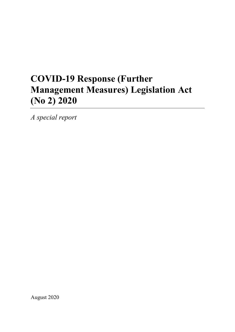# **COVID-19 Response (Further Management Measures) Legislation Act (No 2) 2020**

*A special report*

August 2020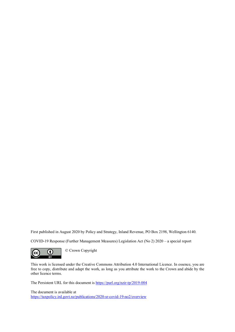First published in August 2020 by Policy and Strategy, Inland Revenue, PO Box 2198, Wellington 6140.

COVID-19 Response (Further Management Measures) Legislation Act (No 2) 2020 – a special report



This work is licensed under the Creative Commons Attribution 4.0 International Licence. In essence, you are free to copy, distribute and adapt the work, as long as you attribute the work to the Crown and abide by the other licence terms.

The Persistent URL for this document is<https://purl.org/nzir-tp/2019-004>

The document is available at <https://taxpolicy.ird.govt.nz/publications/2020-sr-covid-19-no2/overview>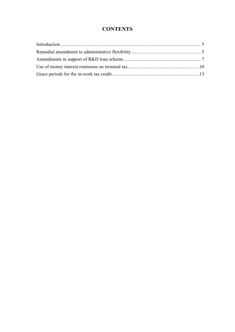# **CONTENTS**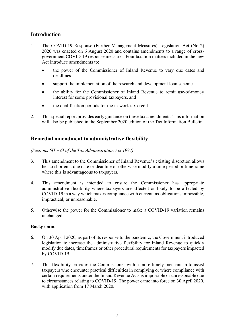# <span id="page-3-0"></span>**Introduction**

- 1. The COVID-19 Response (Further Management Measures) Legislation Act (No 2) 2020 was enacted on 6 August 2020 and contains amendments to a range of crossgovernment COVID-19 response measures. Four taxation matters included in the new Act introduce amendments to:
	- the power of the Commissioner of Inland Revenue to vary due dates and deadlines
	- support the implementation of the research and development loan scheme
	- the ability for the Commissioner of Inland Revenue to remit use-of-money interest for some provisional taxpayers, and
	- the qualification periods for the in-work tax credit
- 2. This special report provides early guidance on these tax amendments. This information will also be published in the September 2020 edition of the Tax Information Bulletin.

# <span id="page-3-1"></span>**Remedial amendment to administrative flexibility**

*(Sections 6H* <sup>−</sup> *6I of the Tax Administration Act 1994)*

- 3. This amendment to the Commissioner of Inland Revenue's existing discretion allows her to shorten a due date or deadline or otherwise modify a time period or timeframe where this is advantageous to taxpayers.
- 4. This amendment is intended to ensure the Commissioner has appropriate administrative flexibility where taxpayers are affected or likely to be affected by COVID-19 in a way which makes compliance with current tax obligations impossible, impractical, or unreasonable.
- 5. Otherwise the power for the Commissioner to make a COVID-19 variation remains unchanged.

- 6. On 30 April 2020, as part of its response to the pandemic, the Government introduced legislation to increase the administrative flexibility for Inland Revenue to quickly modify due dates, timeframes or other procedural requirements for taxpayers impacted by COVID-19.
- 7. This flexibility provides the Commissioner with a more timely mechanism to assist taxpayers who encounter practical difficulties in complying or where compliance with certain requirements under the Inland Revenue Acts is impossible or unreasonable due to circumstances relating to COVID-19. The power came into force on 30 April 2020, with application from 17 March 2020.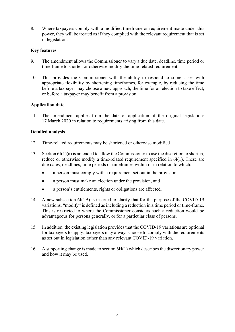8. Where taxpayers comply with a modified timeframe or requirement made under this power, they will be treated as if they complied with the relevant requirement that is set in legislation.

## **Key features**

- 9. The amendment allows the Commissioner to vary a due date, deadline, time period or time frame to shorten or otherwise modify the time-related requirement.
- 10. This provides the Commissioner with the ability to respond to some cases with appropriate flexibility by shortening timeframes, for example, by reducing the time before a taxpayer may choose a new approach, the time for an election to take effect, or before a taxpayer may benefit from a provision.

## **Application date**

11. The amendment applies from the date of application of the original legislation: 17 March 2020 in relation to requirements arising from this date.

## **Detailed analysis**

- 12. Time-related requirements may be shortened or otherwise modified
- 13. Section 6I(1)(a) is amended to allow the Commissioner to use the discretion to shorten, reduce or otherwise modify a time-related requirement specified in 6I(1). These are due dates, deadlines, time periods or timeframes within or in relation to which:
	- a person must comply with a requirement set out in the provision
	- a person must make an election under the provision, and
	- a person's entitlements, rights or obligations are affected.
- 14. A new subsection 6I(1B) is inserted to clarify that for the purpose of the COVID-19 variations, "modify" is defined as including a reduction in a time period or time-frame. This is restricted to where the Commissioner considers such a reduction would be advantageous for persons generally, or for a particular class of persons.
- 15. In addition, the existing legislation provides that the COVID-19 variations are optional for taxpayers to apply; taxpayers may always choose to comply with the requirements as set out in legislation rather than any relevant COVID-19 variation.
- 16. A supporting change is made to section 6H(1) which describes the discretionary power and how it may be used.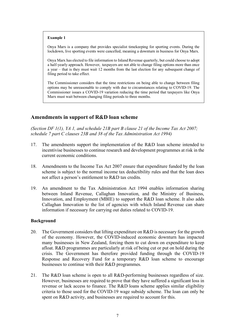#### **Example 1**

Onya Marx is a company that provides specialist timekeeping for sporting events. During the lockdown, live sporting events were cancelled, meaning a downturn in business for Onya Marx.

Onya Marx has elected to file information to Inland Revenue quarterly, but could choose to adopt a half-yearly approach. However, taxpayers are not able to change filing options more than once a year – that is they must wait 12 months from the last election for any subsequent change of filing period to take effect.

The Commissioner considers that the time restrictions on being able to change between filing options may be unreasonable to comply with due to circumstances relating to COVID-19. The Commissioner issues a COVID-19 variation reducing the time period that taxpayers like Onya Marx must wait between changing filing periods to three months.

## <span id="page-5-0"></span>**Amendments in support of R&D loan scheme**

*(Section DF 1(1), YA 1, and schedule 21B part B clause 21 of the Income Tax Act 2007; schedule 7 part C clauses 23B and 38 of the Tax Administration Act 1994)*

- 17. The amendments support the implementation of the R&D loan scheme intended to incentivise businesses to continue research and development programmes at risk in the current economic conditions.
- 18. Amendments to the Income Tax Act 2007 ensure that expenditure funded by the loan scheme is subject to the normal income tax deductibility rules and that the loan does not affect a person's entitlement to R&D tax credits.
- 19. An amendment to the Tax Administration Act 1994 enables information sharing between Inland Revenue, Callaghan Innovation, and the Ministry of Business, Innovation, and Employment (MBIE) to support the R&D loan scheme. It also adds Callaghan Innovation to the list of agencies with which Inland Revenue can share information if necessary for carrying out duties related to COVID-19.

- 20. The Government considers that lifting expenditure on R&D is necessary for the growth of the economy. However, the COVID-induced economic downturn has impacted many businesses in New Zealand, forcing them to cut down on expenditure to keep afloat. R&D programmes are particularly at risk of being cut or put on hold during the crisis. The Government has therefore provided funding through the COVID-19 Response and Recovery Fund for a temporary R&D loan scheme to encourage businesses to continue with their R&D programmes.
- 21. The R&D loan scheme is open to all R&D-performing businesses regardless of size. However, businesses are required to prove that they have suffered a significant loss in revenue or lack access to finance. The R&D loans scheme applies similar eligibility criteria to those used for the COVID-19 wage subsidy scheme. The loan can only be spent on R&D activity, and businesses are required to account for this.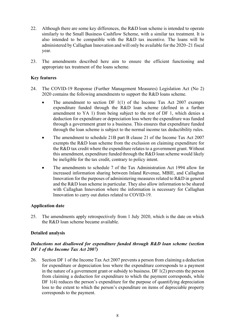- 22. Although there are some key differences, the R&D loan scheme is intended to operate similarly to the Small Business Cashflow Scheme, with a similar tax treatment. It is also intended to be compatible with the R&D tax incentive. The loans will be administered by Callaghan Innovation and will only be available for the 2020−21 fiscal year.
- 23. The amendments described here aim to ensure the efficient functioning and appropriate tax treatment of the loans scheme.

## **Key features**

- 24. The COVID-19 Response (Further Management Measures) Legislation Act (No 2) 2020 contains the following amendments to support the R&D loans scheme.
	- The amendment to section DF  $1(1)$  of the Income Tax Act 2007 exempts expenditure funded through the R&D loan scheme (defined in a further amendment to YA 1) from being subject to the rest of DF 1, which denies a deduction for expenditure or depreciation loss where the expenditure was funded through a government grant to a business. This ensures that expenditure funded through the loan scheme is subject to the normal income tax deductibility rules.
	- The amendment to schedule 21B part B clause 21 of the Income Tax Act 2007 exempts the R&D loan scheme from the exclusion on claiming expenditure for the R&D tax credit where the expenditure relates to a government grant. Without this amendment, expenditure funded through the R&D loan scheme would likely be ineligible for the tax credit, contrary to policy intent.
	- The amendments to schedule 7 of the Tax Administration Act 1994 allow for increased information sharing between Inland Revenue, MBIE, and Callaghan Innovation for the purposes of administering measures related to R&D in general and the R&D loan scheme in particular. They also allow information to be shared with Callaghan Innovation where the information is necessary for Callaghan Innovation to carry out duties related to COVID-19.

#### **Application date**

25. The amendments apply retrospectively from 1 July 2020, which is the date on which the R&D loan scheme became available.

#### **Detailed analysis**

#### *Deductions not disallowed for expenditure funded through R&D loan scheme (section DF 1 of the Income Tax Act 2007)*

26. Section DF 1 of the Income Tax Act 2007 prevents a person from claiming a deduction for expenditure or depreciation loss where the expenditure corresponds to a payment in the nature of a government grant or subsidy to business. DF 1(2) prevents the person from claiming a deduction for expenditure to which the payment corresponds, while DF 1(4) reduces the person's expenditure for the purpose of quantifying depreciation loss to the extent to which the person's expenditure on items of depreciable property corresponds to the payment.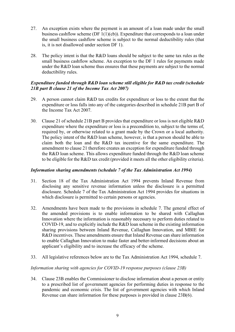- 27. An exception exists where the payment is an amount of a loan made under the small business cashflow scheme (DF  $1(1)(cb)$ ). Expenditure that corresponds to a loan under the small business cashflow scheme is subject to the normal deductibility rules (that is, it is not disallowed under section DF 1).
- 28. The policy intent is that the R&D loans should be subject to the same tax rules as the small business cashflow scheme. An exception to the DF 1 rules for payments made under the R&D loan scheme thus ensures that these payments are subject to the normal deductibility rules.

## *Expenditure funded through R&D loan scheme still eligible for R&D tax credit (schedule 21B part B clause 21 of the Income Tax Act 2007)*

- 29. A person cannot claim R&D tax credits for expenditure or loss to the extent that the expenditure or loss falls into any of the categories described in schedule 21B part B of the Income Tax Act 2007.
- 30. Clause 21 of schedule 21B part B provides that expenditure or loss is not eligible R&D expenditure where the expenditure or loss is a precondition to, subject to the terms of, required by, or otherwise related to a grant made by the Crown or a local authority. The policy intent of the R&D loan scheme, however, is that a person should be able to claim both the loan and the R&D tax incentive for the same expenditure. The amendment to clause 21 therefore creates an exception for expenditure funded through the R&D loan scheme. This allows expenditure funded through the R&D loan scheme to be eligible for the R&D tax credit (provided it meets all the other eligibility criteria).

## *Information sharing amendments (schedule 7 of the Tax Administration Act 1994)*

- 31. Section 18 of the Tax Administration Act 1994 prevents Inland Revenue from disclosing any sensitive revenue information unless the disclosure is a permitted disclosure. Schedule 7 of the Tax Administration Act 1994 provides for situations in which disclosure is permitted to certain persons or agencies.
- 32. Amendments have been made to the provisions in schedule 7. The general effect of the amended provisions is to enable information to be shared with Callaghan Innovation where the information is reasonably necessary to perform duties related to COVID-19, and to explicitly include the R&D loan scheme in the existing information sharing provisions between Inland Revenue, Callaghan Innovation, and MBIE for R&D incentives. These amendments ensure that Inland Revenue can share information to enable Callaghan Innovation to make faster and better-informed decisions about an applicant's eligibility and to increase the efficacy of the scheme.
- 33. All legislative references below are to the Tax Administration Act 1994, schedule 7.

## *Information sharing with agencies for COVID-19 response purposes (clause 23B)*

34. Clause 23B enables the Commissioner to disclose information about a person or entity to a prescribed list of government agencies for performing duties in response to the pandemic and economic crisis. The list of government agencies with which Inland Revenue can share information for these purposes is provided in clause 23B(6).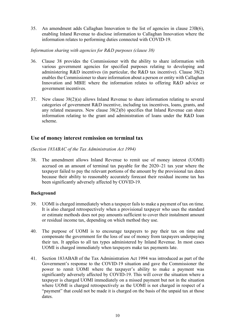35. An amendment adds Callaghan Innovation to the list of agencies in clause 23B(6), enabling Inland Revenue to disclose information to Callaghan Innovation where the information relates to performing duties connected with COVID-19.

#### *Information sharing with agencies for R&D purposes (clause 38)*

- 36. Clause 38 provides the Commissioner with the ability to share information with various government agencies for specified purposes relating to developing and administering R&D incentives (in particular, the R&D tax incentive). Clause 38(2) enables the Commissioner to share information about a person or entity with Callaghan Innovation and MBIE where the information relates to offering R&D advice or government incentives.
- 37. New clause 38(2)(a) allows Inland Revenue to share information relating to several categories of government R&D incentive, including tax incentives, loans, grants, and any related measures. New clause 38(2)(b) specifies that Inland Revenue can share information relating to the grant and administration of loans under the R&D loan scheme.

## <span id="page-8-0"></span>**Use of money interest remission on terminal tax**

*(Section 183ABAC of the Tax Administration Act 1994)*

38. The amendment allows Inland Revenue to remit use of money interest (UOMI) accrued on an amount of terminal tax payable for the 2020−21 tax year where the taxpayer failed to pay the relevant portions of the amount by the provisional tax dates because their ability to reasonably accurately forecast their residual income tax has been significantly adversely affected by COVID-19.

- 39. UOMI is charged immediately when a taxpayer fails to make a payment of tax on time. It is also charged retrospectively when a provisional taxpayer who uses the standard or estimate methods does not pay amounts sufficient to cover their instalment amount or residual income tax, depending on which method they use.
- 40. The purpose of UOMI is to encourage taxpayers to pay their tax on time and compensate the government for the loss of use of money from taxpayers underpaying their tax. It applies to all tax types administered by Inland Revenue. In most cases UOMI is charged immediately when taxpayers make tax payments late.
- 41. Section 183ABAB of the Tax Administration Act 1994 was introduced as part of the Government's response to the COVID-19 situation and gave the Commissioner the power to remit UOMI where the taxpayer's ability to make a payment was significantly adversely affected by COVID-19. This will cover the situation where a taxpayer is charged UOMI immediately on a missed payment but not in the situation where UOMI is charged retrospectively as the UOMI is not charged in respect of a "payment" that could not be made it is charged on the basis of the unpaid tax at those dates.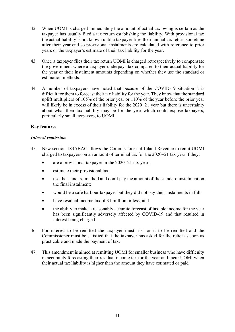- 42. When UOMI is charged immediately the amount of actual tax owing is certain as the taxpayer has usually filed a tax return establishing the liability. With provisional tax the actual liability is not known until a taxpayer files their annual tax return sometime after their year-end so provisional instalments are calculated with reference to prior years or the taxpayer's estimate of their tax liability for the year.
- 43. Once a taxpayer files their tax return UOMI is charged retrospectively to compensate the government where a taxpayer underpays tax compared to their actual liability for the year or their instalment amounts depending on whether they use the standard or estimation methods.
- 44. A number of taxpayers have noted that because of the COVID-19 situation it is difficult for them to forecast their tax liability for the year. They know that the standard uplift multipliers of 105% of the prior year or 110% of the year before the prior year will likely be in excess of their liability for the 2020−21 year but there is uncertainty about what their tax liability may be for the year which could expose taxpayers, particularly small taxpayers, to UOMI.

## **Key features**

#### *Interest remission*

- 45. New section 183ABAC allows the Commissioner of Inland Revenue to remit UOMI charged to taxpayers on an amount of terminal tax for the 2020−21 tax year if they:
	- are a provisional taxpayer in the 2020−21 tax year;
	- estimate their provisional tax;
	- use the standard method and don't pay the amount of the standard instalment on the final instalment;
	- would be a safe harbour taxpayer but they did not pay their instalments in full;
	- have residual income tax of \$1 million or less, and
	- the ability to make a reasonably accurate forecast of taxable income for the year has been significantly adversely affected by COVID-19 and that resulted in interest being charged.
- 46. For interest to be remitted the taxpayer must ask for it to be remitted and the Commissioner must be satisfied that the taxpayer has asked for the relief as soon as practicable and made the payment of tax.
- 47. This amendment is aimed at remitting UOMI for smaller business who have difficulty in accurately forecasting their residual income tax for the year and incur UOMI when their actual tax liability is higher than the amount they have estimated or paid.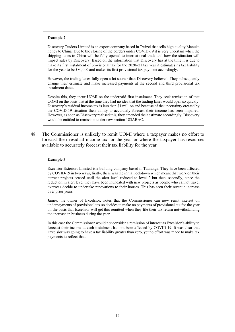#### **Example 2**

Discovery Traders Limited is an export company based in Twizel that sells high quality Manuka honey to China. Due to the closing of the borders under COVID-19 it is very uncertain when the shipping lanes to China will be fully opened to international trade and how the situation will impact sales by Discovery. Based on the information that Discovery has at the time it is due to make its first instalment of provisional tax for the 2020−21 tax year it estimates its tax liability for the year to be \$80,000 and makes its first provisional tax payment accordingly.

However, the trading lanes fully open a lot sooner than Discovery believed. They subsequently change their estimate and make increased payments at the second and third provisional tax instalment dates.

Despite this, they incur UOMI on the underpaid first instalment. They seek remission of that UOMI on the basis that at the time they had no idea that the trading lanes would open so quickly. Discovery's residual income tax is less than \$1 million and because of the uncertainty created by the COVID-19 situation their ability to accurately forecast their income has been impaired. However, as soon as Discovery realised this, they amended their estimate accordingly. Discovery would be entitled to remission under new section 183ABAC.

48. The Commissioner is unlikely to remit UOMI where a taxpayer makes no effort to forecast their residual income tax for the year or where the taxpayer has resources available to accurately forecast their tax liability for the year.

#### **Example 3**

Excelsior Exteriors Limited is a building company based in Tauranga. They have been affected by COVID-19 in two ways, firstly, there was the initial lockdown which meant that work on their current projects ceased until the alert level reduced to level 2 but then, secondly, since the reduction in alert level they have been inundated with new projects as people who cannot travel overseas decide to undertake renovations to their houses. This has seen their revenue increase over prior years.

James, the owner of Excelsior, notes that the Commissioner can now remit interest on underpayments of provisional tax so decides to make no payments of provisional tax for the year on the basis that Excelsior will get this remitted when they file their tax return notwithstanding the increase in business during the year.

In this case the Commissioner would not consider a remission of interest as Excelsior's ability to forecast their income at each instalment has not been affected by COVID-19. It was clear that Excelsior was going to have a tax liability greater than zero, yet no effort was made to make tax payments to reflect that.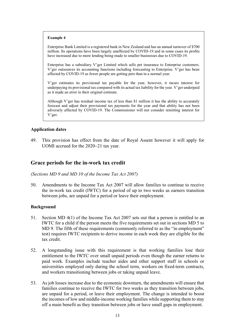#### **Example 4**

Enterprise Bank Limited is a registered bank in New Zealand and has an annual turnover of \$700 million. Its operations have been largely unaffected by COVID-19 and in some cases its profits have increased due to more lending being made to smaller businesses due to COVID-19.

Enterprise has a subsidiary V'ger Limited which sells pet insurance to Enterprise customers. V'ger outsources its accounting functions including forecasting to Enterprise. V'ger has been affected by COVID-19 as fewer people are getting pets than in a normal year.

V'ger estimates its provisional tax payable for the year, however, it incurs interest for underpaying its provisional tax compared with its actual tax liability for the year. V'ger underpaid as it made an error in their original estimate.

Although V'ger has residual income tax of less than \$1 million it has the ability to accurately forecast and adjust their provisional tax payments for the year and that ability has not been adversely affected by COVID-19. The Commissioner will not consider remitting interest for V'ger.

#### **Application dates**

49. This provision has effect from the date of Royal Assent however it will apply for UOMI accrued for the 2020−21 tax year.

## <span id="page-11-0"></span>**Grace periods for the in-work tax credit**

*(Sections MD 9 and MD 10 of the Income Tax Act 2007)*

50. Amendments to the Income Tax Act 2007 will allow families to continue to receive the in-work tax credit (IWTC) for a period of up to two weeks as earners transition between jobs, are unpaid for a period or leave their employment.

- 51. Section MD 4(1) of the Income Tax Act 2007 sets out that a person is entitled to an IWTC for a child if the person meets the five requirements set out in sections MD 5 to MD 9. The fifth of these requirements (commonly referred to as the "in employment" test) requires IWTC recipients to derive income in each week they are eligible for the tax credit.
- 52. A longstanding issue with this requirement is that working families lose their entitlement to the IWTC over small unpaid periods even though the earner returns to paid work. Examples include teacher aides and other support staff in schools or universities employed only during the school term, workers on fixed-term contracts, and workers transitioning between jobs or taking unpaid leave.
- 53. As job losses increase due to the economic downturn, the amendments will ensure that families continue to receive the IWTC for two weeks as they transition between jobs, are unpaid for a period, or leave their employment. The change is intended to boost the incomes of low and middle-income working families while supporting them to stay off a main benefit as they transition between jobs or have small gaps in employment.